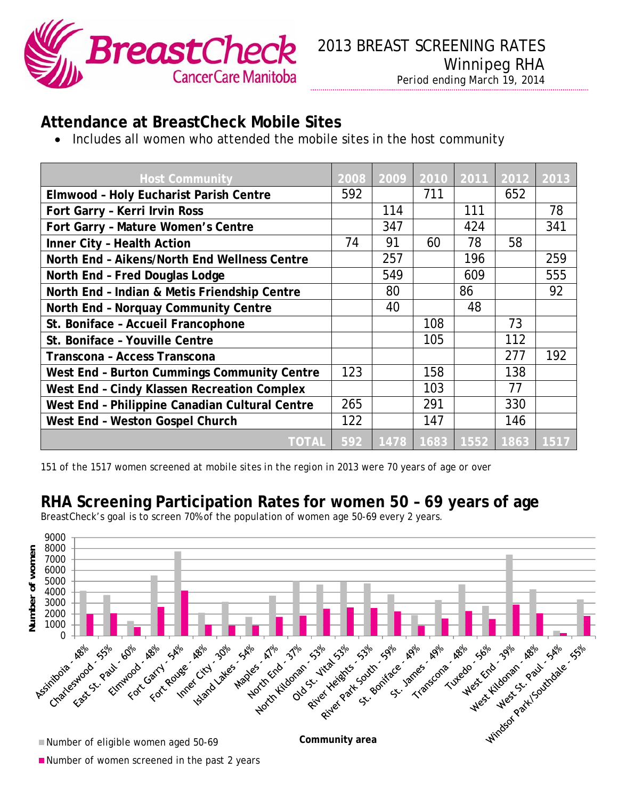

## **Attendance at BreastCheck Mobile Sites**

Includes all women who attended the mobile sites in the host community

| <b>Host Community</b>                          | 2008 | 2009 |     | 2010 2011 | 2012                            | 2013 |
|------------------------------------------------|------|------|-----|-----------|---------------------------------|------|
| <b>Elmwood - Holy Eucharist Parish Centre</b>  | 592  |      | 711 |           | 652                             |      |
| Fort Garry - Kerri Irvin Ross                  |      | 114  |     | 111       |                                 | 78   |
| Fort Garry - Mature Women's Centre             |      | 347  |     | 424       |                                 | 341  |
| Inner City - Health Action                     | 74   | 91   | 60  | 78        | 58                              |      |
| North End - Aikens/North End Wellness Centre   |      | 257  |     | 196       |                                 | 259  |
| North End - Fred Douglas Lodge                 |      | 549  |     | 609       |                                 | 555  |
| North End - Indian & Metis Friendship Centre   |      | 80   |     | 86        |                                 | 92   |
| North End - Norquay Community Centre           |      | 40   |     | 48        |                                 |      |
| St. Boniface - Accueil Francophone             |      |      | 108 |           | 73                              |      |
| St. Boniface - Youville Centre                 |      |      | 105 |           | 112                             |      |
| Transcona - Access Transcona                   |      |      |     |           | 277                             | 192  |
| West End - Burton Cummings Community Centre    | 123  |      | 158 |           | 138                             |      |
| West End - Cindy Klassen Recreation Complex    |      |      | 103 |           | 77                              |      |
| West End - Philippine Canadian Cultural Centre | 265  |      | 291 |           | 330                             |      |
| West End - Weston Gospel Church                | 122  |      | 147 |           | 146                             |      |
| <b>TOTAL</b>                                   |      |      |     |           | 592   1478   1683   1552   1863 | 1517 |

*151 of the 1517 women screened at mobile sites in the region in 2013 were 70 years of age or over* 

## **RHA Screening Participation Rates for women 50 – 69 years of age**





Number of women screened in the past 2 years